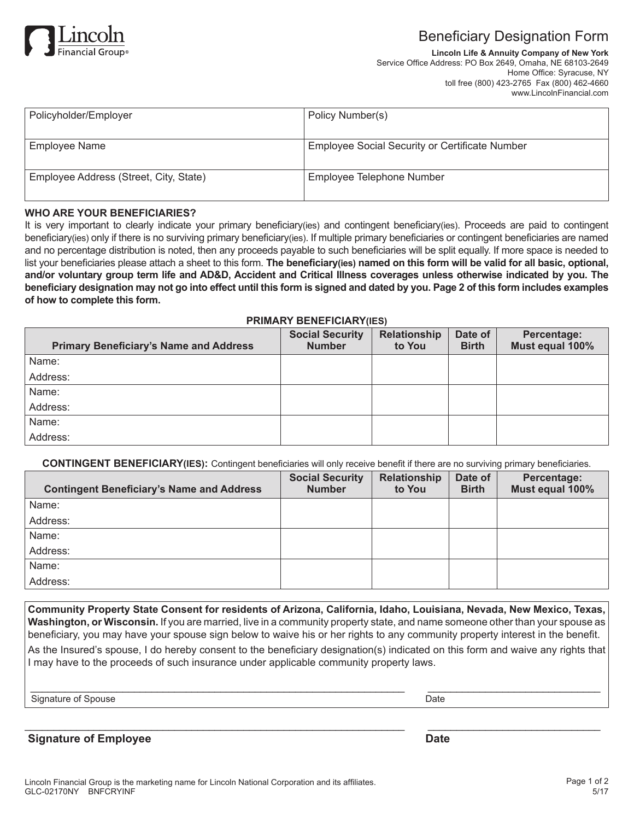

# Beneficiary Designation Form

**Lincoln Life & Annuity Company of New York** Service Office Address: PO Box 2649, Omaha, NE 68103-2649 Home Office: Syracuse, NY toll free (800) 423-2765 Fax (800) 462-4660 www.LincolnFinancial.com

| Policy Number(s)                               |
|------------------------------------------------|
| Employee Social Security or Certificate Number |
|                                                |
| Employee Telephone Number                      |
|                                                |

### **WHO ARE YOUR BENEFICIARIES?**

It is very important to clearly indicate your primary beneficiary(ies) and contingent beneficiary(ies). Proceeds are paid to contingent beneficiary(ies) only if there is no surviving primary beneficiary(ies). If multiple primary beneficiaries or contingent beneficiaries are named and no percentage distribution is noted, then any proceeds payable to such beneficiaries will be split equally. If more space is needed to list your beneficiaries please attach a sheet to this form. **The beneficiary(ies) named on this form will be valid for all basic, optional, and/or voluntary group term life and AD&D, Accident and Critical Illness coverages unless otherwise indicated by you. The beneficiary designation may not go into effect until this form is signed and dated by you. Page 2 of this form includes examples of how to complete this form.**

### **PRIMARY BENEFICIARY(IES)**

| <b>Primary Beneficiary's Name and Address</b> | <b>Social Security</b><br><b>Number</b> | Relationship<br>to You | Date of<br><b>Birth</b> | Percentage:<br>Must equal 100% |
|-----------------------------------------------|-----------------------------------------|------------------------|-------------------------|--------------------------------|
| Name:                                         |                                         |                        |                         |                                |
| Address:                                      |                                         |                        |                         |                                |
| Name:                                         |                                         |                        |                         |                                |
| Address:                                      |                                         |                        |                         |                                |
| Name:                                         |                                         |                        |                         |                                |
| Address:                                      |                                         |                        |                         |                                |

**CONTINGENT BENEFICIARY(IES):** Contingent beneficiaries will only receive benefit if there are no surviving primary beneficiaries.

| <b>Contingent Beneficiary's Name and Address</b> | <b>Social Security</b><br><b>Number</b> | Relationship<br>to You | Date of<br><b>Birth</b> | Percentage:<br>Must equal 100% |
|--------------------------------------------------|-----------------------------------------|------------------------|-------------------------|--------------------------------|
| Name:                                            |                                         |                        |                         |                                |
| Address:                                         |                                         |                        |                         |                                |
| Name:                                            |                                         |                        |                         |                                |
| Address:                                         |                                         |                        |                         |                                |
| Name:                                            |                                         |                        |                         |                                |
| Address:                                         |                                         |                        |                         |                                |

**Community Property State Consent for residents of Arizona, California, Idaho, Louisiana, Nevada, New Mexico, Texas, Washington, or Wisconsin.** If you are married, live in a community property state, and name someone other than your spouse as beneficiary, you may have your spouse sign below to waive his or her rights to any community property interest in the benefit.

As the Insured's spouse, I do hereby consent to the beneficiary designation(s) indicated on this form and waive any rights that I may have to the proceeds of such insurance under applicable community property laws.

\_\_\_\_\_\_\_\_\_\_\_\_\_\_\_\_\_\_\_\_\_\_\_\_\_\_\_\_\_\_\_\_\_\_\_\_\_\_\_\_\_\_\_\_\_\_\_\_\_\_\_\_\_\_\_\_\_\_\_\_\_\_\_\_\_ \_\_\_\_\_\_\_\_\_\_\_\_\_\_\_\_\_\_\_\_\_\_\_\_\_\_\_\_\_\_

 $\overline{\phantom{a}}$  , and the contribution of the contribution of the contribution of the contribution of the contribution of the contribution of the contribution of the contribution of the contribution of the contribution of the

Signature of Spouse Date

**Signature of Employee Date**